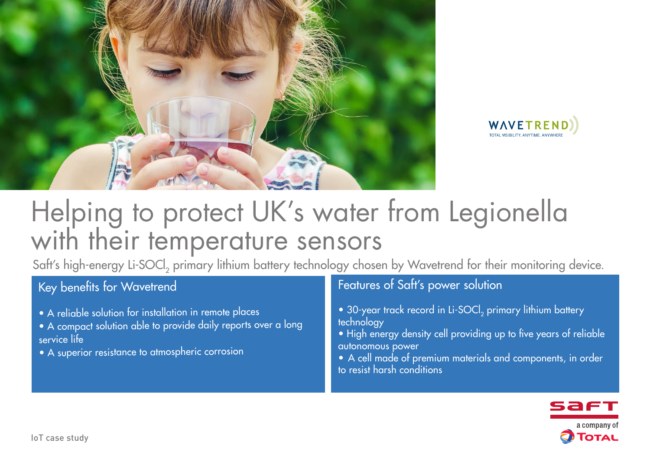



# Helping to protect UK's water from Legionella with their temperature sensors

Saft's high-energy Li-SOCl<sub>2</sub> primary lithium battery technology chosen by Wavetrend for their monitoring device.

## Key benefits for Wavetrend

- A reliable solution for installation in remote places
- A compact solution able to provide daily reports over a long service life
- A superior resistance to atmospheric corrosion

### Features of Saft's power solution

- 30-year track record in Li-SOCl<sub>2</sub> primary lithium battery technology
- High energy density cell providing up to five years of reliable autonomous power
- A cell made of premium materials and components, in order to resist harsh conditions